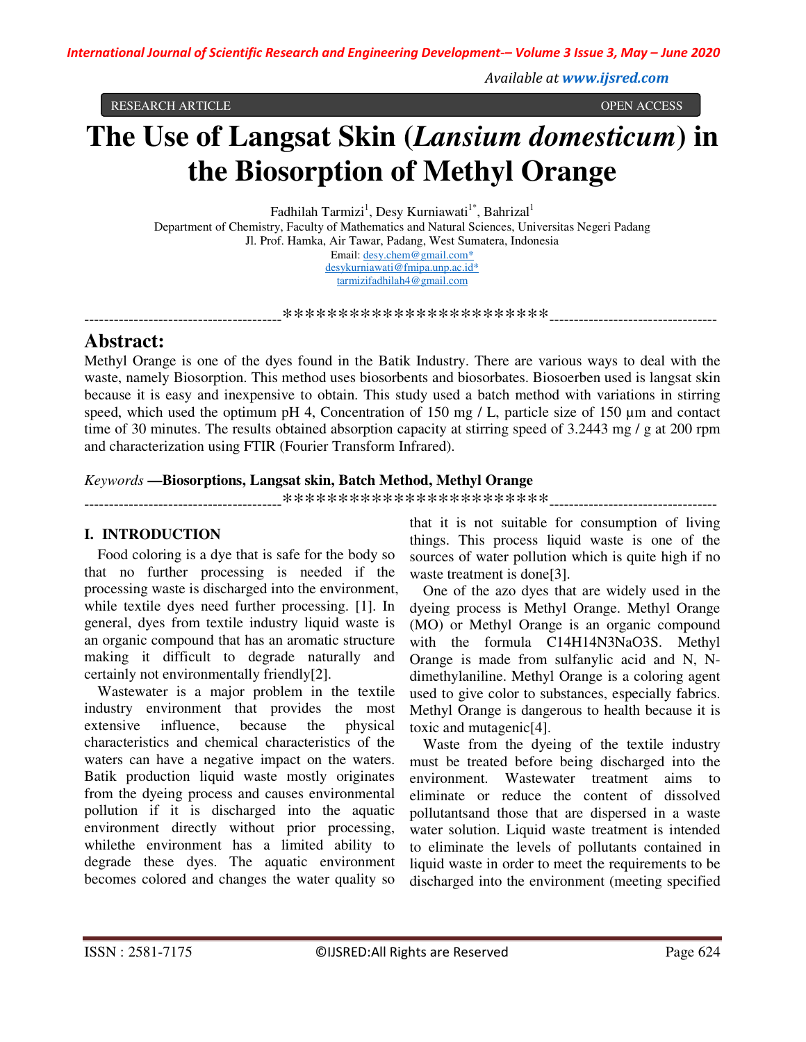*Available at www.ijsred.com*

RESEARCH ARTICLE OPEN ACCESS

# **The Use of Langsat Skin (***Lansium domesticum***) in the Biosorption of Methyl Orange**

Fadhilah Tarmizi<sup>1</sup>, Desy Kurniawati<sup>1\*</sup>, Bahrizal<sup>1</sup> Department of Chemistry, Faculty of Mathematics and Natural Sciences, Universitas Negeri Padang Jl. Prof. Hamka, Air Tawar, Padang, West Sumatera, Indonesia Email: desy.chem@gmail.com\* desykurniawati@fmipa.unp.ac.id\* tarmizifadhilah4@gmail.com

----------------------------------------\*\*\*\*\*\*\*\*\*\*\*\*\*\*\*\*\*\*\*\*\*\*\*\*----------------------------------

# **Abstract:**

Methyl Orange is one of the dyes found in the Batik Industry. There are various ways to deal with the waste, namely Biosorption. This method uses biosorbents and biosorbates. Biosoerben used is langsat skin because it is easy and inexpensive to obtain. This study used a batch method with variations in stirring speed, which used the optimum pH 4, Concentration of 150 mg / L, particle size of 150 µm and contact time of 30 minutes. The results obtained absorption capacity at stirring speed of 3.2443 mg / g at 200 rpm and characterization using FTIR (Fourier Transform Infrared).

# *Keywords* **—Biosorptions, Langsat skin, Batch Method, Methyl Orange**

----------------------------------------\*\*\*\*\*\*\*\*\*\*\*\*\*\*\*\*\*\*\*\*\*\*\*\*----------------------------------

# **I. INTRODUCTION**

Food coloring is a dye that is safe for the body so that no further processing is needed if the processing waste is discharged into the environment, while textile dyes need further processing. [1]. In general, dyes from textile industry liquid waste is an organic compound that has an aromatic structure making it difficult to degrade naturally and certainly not environmentally friendly[2].

Wastewater is a major problem in the textile industry environment that provides the most extensive influence, because the physical characteristics and chemical characteristics of the waters can have a negative impact on the waters. Batik production liquid waste mostly originates from the dyeing process and causes environmental pollution if it is discharged into the aquatic environment directly without prior processing, whilethe environment has a limited ability to degrade these dyes. The aquatic environment becomes colored and changes the water quality so

that it is not suitable for consumption of living things. This process liquid waste is one of the sources of water pollution which is quite high if no waste treatment is done[3].

One of the azo dyes that are widely used in the dyeing process is Methyl Orange. Methyl Orange (MO) or Methyl Orange is an organic compound with the formula C14H14N3NaO3S. Methyl Orange is made from sulfanylic acid and N, Ndimethylaniline. Methyl Orange is a coloring agent used to give color to substances, especially fabrics. Methyl Orange is dangerous to health because it is toxic and mutagenic[4].

Waste from the dyeing of the textile industry must be treated before being discharged into the environment. Wastewater treatment aims to eliminate or reduce the content of dissolved pollutantsand those that are dispersed in a waste water solution. Liquid waste treatment is intended to eliminate the levels of pollutants contained in liquid waste in order to meet the requirements to be discharged into the environment (meeting specified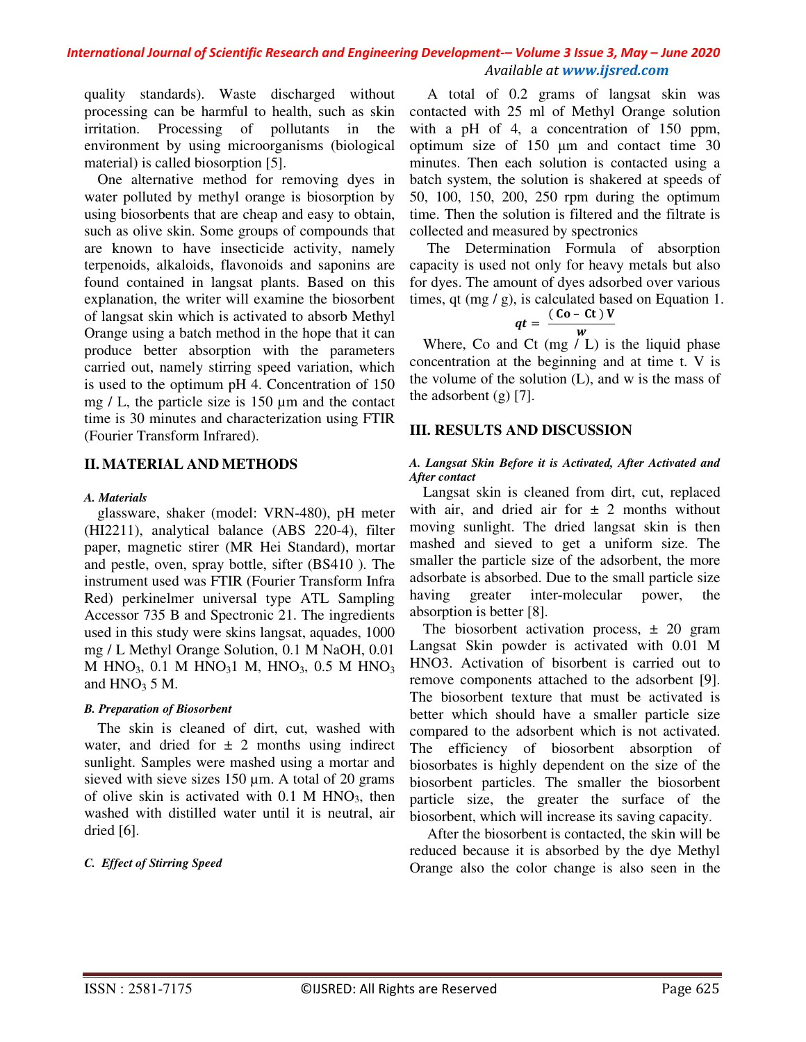quality standards). Waste discharged without processing can be harmful to health, such as skin irritation. Processing of pollutants in the environment by using microorganisms (biological material) is called biosorption [5].

One alternative method for removing dyes in water polluted by methyl orange is biosorption by using biosorbents that are cheap and easy to obtain, such as olive skin. Some groups of compounds that are known to have insecticide activity, namely terpenoids, alkaloids, flavonoids and saponins are found contained in langsat plants. Based on this explanation, the writer will examine the biosorbent of langsat skin which is activated to absorb Methyl Orange using a batch method in the hope that it can produce better absorption with the parameters carried out, namely stirring speed variation, which is used to the optimum pH 4. Concentration of 150 mg / L, the particle size is 150 µm and the contact time is 30 minutes and characterization using FTIR (Fourier Transform Infrared).

# **II. MATERIAL AND METHODS**

#### *A. Materials*

glassware, shaker (model: VRN-480), pH meter (HI2211), analytical balance (ABS 220-4), filter paper, magnetic stirer (MR Hei Standard), mortar and pestle, oven, spray bottle, sifter (BS410 ). The instrument used was FTIR (Fourier Transform Infra Red) perkinelmer universal type ATL Sampling Accessor 735 B and Spectronic 21. The ingredients used in this study were skins langsat, aquades, 1000 mg / L Methyl Orange Solution, 0.1 M NaOH, 0.01 M HNO<sub>3</sub>, 0.1 M HNO<sub>3</sub>1 M, HNO<sub>3</sub>, 0.5 M HNO<sub>3</sub> and  $HNO<sub>3</sub> 5 M$ .

#### *B. Preparation of Biosorbent*

The skin is cleaned of dirt, cut, washed with water, and dried for  $\pm$  2 months using indirect sunlight. Samples were mashed using a mortar and sieved with sieve sizes 150  $\mu$ m. A total of 20 grams of olive skin is activated with  $0.1$  M HNO<sub>3</sub>, then washed with distilled water until it is neutral, air dried [6].

#### *C. Effect of Stirring Speed*

A total of 0.2 grams of langsat skin was contacted with 25 ml of Methyl Orange solution with a pH of 4, a concentration of 150 ppm, optimum size of 150 µm and contact time 30 minutes. Then each solution is contacted using a batch system, the solution is shakered at speeds of 50, 100, 150, 200, 250 rpm during the optimum time. Then the solution is filtered and the filtrate is collected and measured by spectronics

The Determination Formula of absorption capacity is used not only for heavy metals but also for dyes. The amount of dyes adsorbed over various times, qt (mg  $/$  g), is calculated based on Equation 1.

$$
qt = \frac{(C_0 - Ct)V}{w}
$$

Where, Co and Ct (mg / L) is the liquid phase concentration at the beginning and at time t. V is the volume of the solution (L), and w is the mass of the adsorbent  $(g)$  [7].

# **III. RESULTS AND DISCUSSION**

#### *A. Langsat Skin Before it is Activated, After Activated and After contact*

Langsat skin is cleaned from dirt, cut, replaced with air, and dried air for  $\pm$  2 months without moving sunlight. The dried langsat skin is then mashed and sieved to get a uniform size. The smaller the particle size of the adsorbent, the more adsorbate is absorbed. Due to the small particle size having greater inter-molecular power, the absorption is better [8].

The biosorbent activation process,  $\pm$  20 gram Langsat Skin powder is activated with 0.01 M HNO3. Activation of bisorbent is carried out to remove components attached to the adsorbent [9]. The biosorbent texture that must be activated is better which should have a smaller particle size compared to the adsorbent which is not activated. The efficiency of biosorbent absorption of biosorbates is highly dependent on the size of the biosorbent particles. The smaller the biosorbent particle size, the greater the surface of the biosorbent, which will increase its saving capacity.

After the biosorbent is contacted, the skin will be reduced because it is absorbed by the dye Methyl Orange also the color change is also seen in the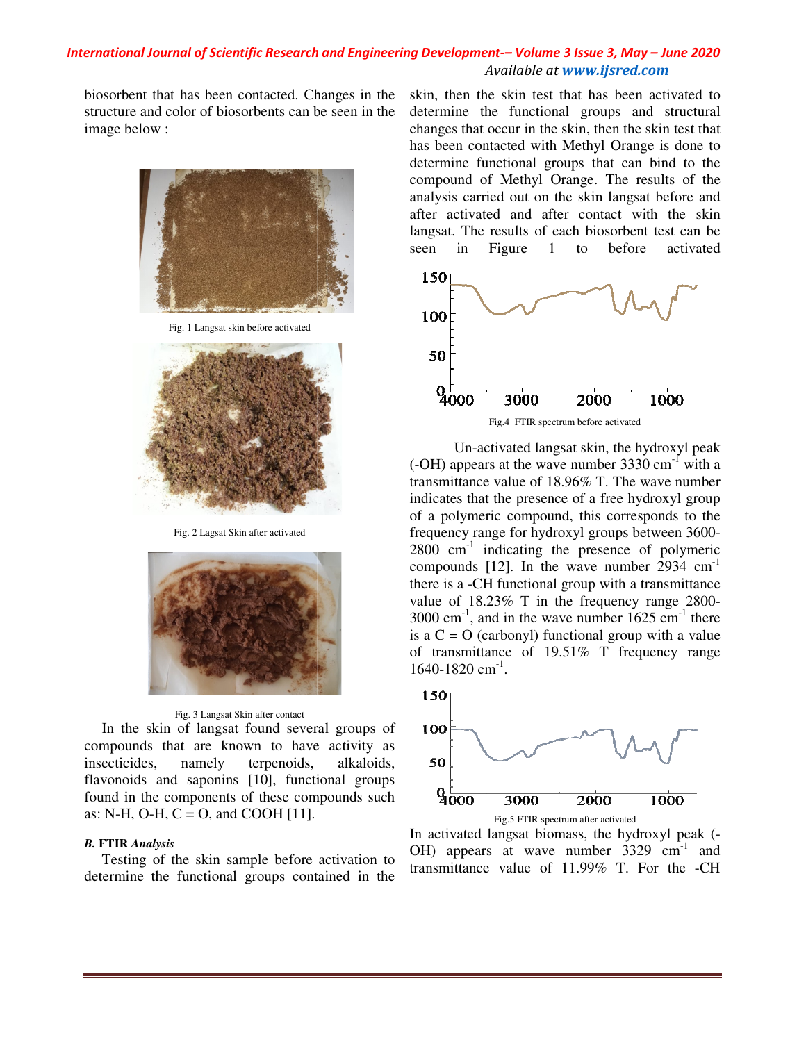biosorbent that has been contacted. Changes in the structure and color of biosorbents can be seen in the image below :



Fig. 1 Langsat skin before activated



Fig. 2 Lagsat Skin after activated





In the skin of langsat found several groups of compounds that are known to have activity as insecticides, namely terpenoids, alkaloids, flavonoids and saponins [10], functional groups found in the components of these compounds such as: N-H, O-H,  $C = O$ , and COOH [11].

#### *B.* **FTIR** *Analysis*

Testing of the skin sample before activation to determine the functional groups contained in the determine the functional groups and structural changes that occur in the skin, then the skin test that has been contacted with Methyl Orange is done to determine functional groups that can bind to the compound of Methyl Orange. The results of the analysis carried out on the skin langsat before and after activated and after contact with the skin langsat. The results of each biosorbent test can be seen in Figure 1 to before activated skin, then the skin test that has been activated to determine the functional groups and structural<br>changes that occur in the skin, then the skin test that<br>has been contacted with Methyl Orange is done to<br>determine functional groups that can bind to the<br>compound of Methyl Or



Fig.4 FTIR spectrum before activated

The interaction of the skin test that been the controlled by the skin test that is been activited to the skin test that the particles is that then the skin test that the functional strengths control on the skin test that Un-activated langsat skin, the hydroxyl peak Un-activated langsat skin, the hydroxyl peak  $(-OH)$  appears at the wave number 3330 cm<sup>-1</sup> with a transmittance value of  $18.96\%$  T. The wave number indicates that the presence of a free hydroxyl group of a polymeric compound, this corresponds to the frequency range for hydroxyl groups between 3600  $2800 \text{ cm}^{-1}$  indicating the presence of polymeric compounds [12]. In the wave number  $2934 \text{ cm}^{-1}$ there is a -CH functional group with a transmittance there is a -CH functional group with a transmittance<br>value of 18.23% T in the frequency range 2800- $3000 \text{ cm}^{-1}$ , and in the wave number  $1625 \text{ cm}^{-1}$  there is a  $C = O$  (carbonyl) functional group with a value of transmittance of  $19.51\%$  T frequency range 1640-1820 cm<sup>-1</sup>. indicates that the presence of a free hydroxyl group<br>of a polymeric compound, this corresponds to the<br>frequency range for hydroxyl groups between 3600-



Fig.5 FTIR spectrum after activated In activated langsat biomass, the hydroxyl peak (-OH) appears at wave number  $3329 \text{ cm}^{-1}$  and transmittance value of  $11.99\%$  T. For the -CH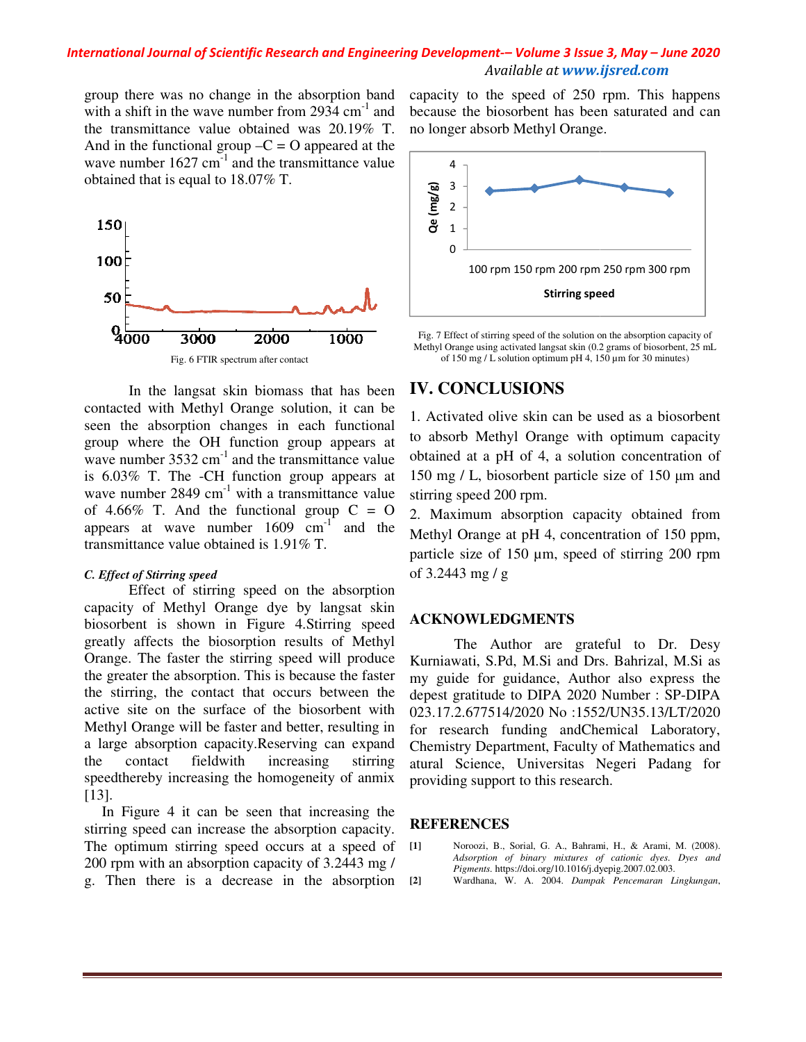group there was no change in the absorption band with a shift in the wave number from  $2934 \text{ cm}^{-1}$  and the transmittance value obtained was 20.19% T. And in the functional group  $-C = O$  appeared at the wave number  $1627 \text{ cm}^{-1}$  and the transmittance value obtained that is equal to 18.07% T.



In the langsat skin biomass that has been contacted with Methyl Orange solution, it can be seen the absorption changes in each functional group where the OH function group appears at wave number  $3532 \text{ cm}^{-1}$  and the transmittance value is 6.03% T. The -CH function group appears at wave number  $2849 \text{ cm}^{-1}$  with a transmittance value of 4.66% T. And the functional group  $C = O$ appears at wave number  $1609 \text{ cm}^{-1}$  and the transmittance value obtained is 1.91% T.

#### *C. Effect of Stirring speed*

Effect of stirring speed on the absorption capacity of Methyl Orange dye by langsat skin biosorbent is shown in Figure 4.Stirring speed greatly affects the biosorption results of Methyl Orange. The faster the stirring speed will produce the greater the absorption. This is because the faster the stirring, the contact that occurs between the active site on the surface of the biosorbent with Methyl Orange will be faster and better, resulting in a large absorption capacity.Reserving can expand the contact fieldwith increasing stirring speed thereby increasing the homogeneity of an mix [13]. m 2934 cm<sup>-1</sup> and b<br>was 20.19% T. n<br>D appeared at the<br>nsmittance value<br>nsmittance value<br> $\begin{bmatrix} 1 & 0 & 0 \\ 0 & 0 & 1 \\ 0 & 0 & 1 \end{bmatrix}$ <br>and the reach functional<br>nsmittance value and the cash functional<br>nsmittance value of the co of stirring speed on the absorption<br>Methyl Orange dye by langsat skin<br>shown in Figure 4.Stirring speed<br>s the biosorption results of Methyl<br>faster the stirring speed will produce<br>e absorption. This is because the faster<br>the

In Figure 4 it can be seen that increasing the stirring speed can increase the absorption capacity. The optimum stirring speed occurs at a speed of 200 rpm with an absorption capacity of 3.2443 mg / g. Then there is a decrease in the absorption

capacity to the speed of 250 rpm. This happens because the biosorbent has been saturated and can no longer absorb Methyl Orange.



Fig. 7 Effect of stirring speed of the solution on the absorption capacity of Methyl Orange using activated langsat skin (0.2 grams of biosorbent, 25 mL of 150 mg / L solution optimum pH 4, 150  $\mu$ m for 30 minutes) Fig. 7 Effect of stirring speed of the solution on the absorption capacemently Drange using activated langsat skin  $(0.2 \text{ grams of biosor bent})$  of 150 mg / L solution optimum pH 4, 150 µm for 30 minutes)

# **IV. CONCLUSIONS**

1. Activated olive skin can be used as a biosorbent to absorb Methyl Orange with optimum capacity obtained at a pH of 4, a solution concentration of 150 mg / L, biosorbent particle size of 150 µm and stirring speed 200 rpm.

2. Maximum absorption capacity obtained from Methyl Orange at pH 4, concentration of 150 ppm, particle size of 150  $\mu$ m, speed of stirring 200 rpm of 3.2443 mg / g mum absorption capacity obtained from<br>Orange at pH 4, concentration of 150 ppm,<br>size of 150 µm, speed of stirring 200 rpm<br>3 mg / g<br>**DWLEDGMENTS**<br>The Author are grateful to Dr. Desy<br>ati, S.Pd, M.Si and Drs. Bahrizal, M.Si a

#### **ACKNOWLEDGMENTS**

 The Author are grateful to Dr. Desy Kurniawati, S.Pd, M.Si and Drs. Bahrizal, M.Si as my guide for guidance, Author also express th depest gratitude to DIPA 2020 Number : SP-DIPA 023.17.2.677514/2020 No :1552/UN35.13/LT/2020 for research funding andChemical Laboratory, Chemistry Department, Faculty of Mathematics and atural Science, Universitas Negeri Padang for providing support to this research. o :1552/UN35.13/LT/2020<br>andChemical Laboratory,<br>faculty of Mathematics and<br>sitas Negeri Padang for<br>research.

#### **REFERENCES**

[1] Noroozi, B., Sorial, G. A., Bahrami, H., & Arami, M. (2008). Adsorption of binary mixtures of cationic dyes. Dyes and *Pigments.* https://doi.org/10.1016/j.dyepig.2007.02.003. **[2]** Wardhana, W. A. 2004. *Dampak Pencemaran Lingkungan Lingkungan*,